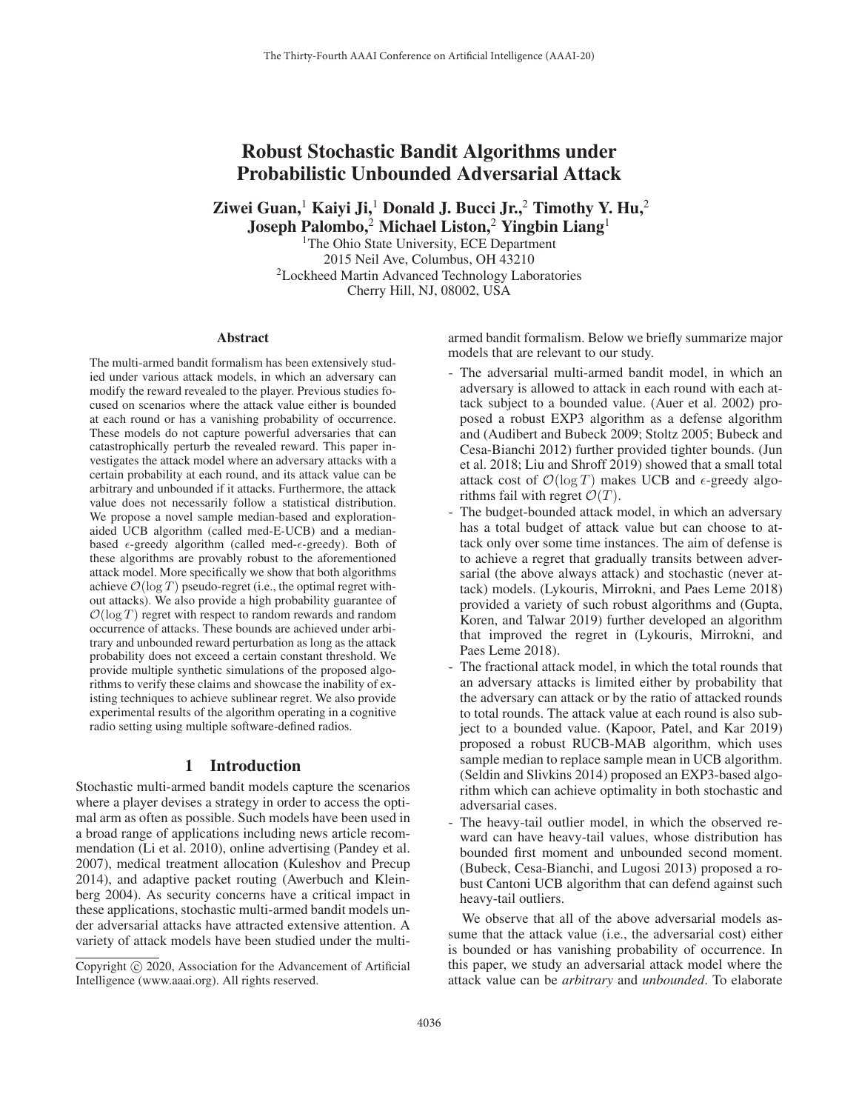# Robust Stochastic Bandit Algorithms under Probabilistic Unbounded Adversarial Attack

Ziwei Guan,<sup>1</sup> Kaiyi Ji,<sup>1</sup> Donald J. Bucci Jr.,<sup>2</sup> Timothy Y. Hu,<sup>2</sup>

Joseph Palombo,<sup>2</sup> Michael Liston,<sup>2</sup> Yingbin Liang<sup>1</sup> <sup>1</sup>The Ohio State University, ECE Department

2015 Neil Ave, Columbus, OH 43210 2Lockheed Martin Advanced Technology Laboratories Cherry Hill, NJ, 08002, USA

### Abstract

The multi-armed bandit formalism has been extensively studied under various attack models, in which an adversary can modify the reward revealed to the player. Previous studies focused on scenarios where the attack value either is bounded at each round or has a vanishing probability of occurrence. These models do not capture powerful adversaries that can catastrophically perturb the revealed reward. This paper investigates the attack model where an adversary attacks with a certain probability at each round, and its attack value can be arbitrary and unbounded if it attacks. Furthermore, the attack value does not necessarily follow a statistical distribution. We propose a novel sample median-based and explorationaided UCB algorithm (called med-E-UCB) and a medianbased  $\epsilon$ -greedy algorithm (called med- $\epsilon$ -greedy). Both of these algorithms are provably robust to the aforementioned attack model. More specifically we show that both algorithms achieve  $\mathcal{O}(\log T)$  pseudo-regret (i.e., the optimal regret without attacks). We also provide a high probability guarantee of  $\mathcal{O}(\log T)$  regret with respect to random rewards and random occurrence of attacks. These bounds are achieved under arbitrary and unbounded reward perturbation as long as the attack probability does not exceed a certain constant threshold. We provide multiple synthetic simulations of the proposed algorithms to verify these claims and showcase the inability of existing techniques to achieve sublinear regret. We also provide experimental results of the algorithm operating in a cognitive radio setting using multiple software-defined radios.

### 1 Introduction

Stochastic multi-armed bandit models capture the scenarios where a player devises a strategy in order to access the optimal arm as often as possible. Such models have been used in a broad range of applications including news article recommendation (Li et al. 2010), online advertising (Pandey et al. 2007), medical treatment allocation (Kuleshov and Precup 2014), and adaptive packet routing (Awerbuch and Kleinberg 2004). As security concerns have a critical impact in these applications, stochastic multi-armed bandit models under adversarial attacks have attracted extensive attention. A variety of attack models have been studied under the multiarmed bandit formalism. Below we briefly summarize major models that are relevant to our study.

- The adversarial multi-armed bandit model, in which an adversary is allowed to attack in each round with each attack subject to a bounded value. (Auer et al. 2002) proposed a robust EXP3 algorithm as a defense algorithm and (Audibert and Bubeck 2009; Stoltz 2005; Bubeck and Cesa-Bianchi 2012) further provided tighter bounds. (Jun et al. 2018; Liu and Shroff 2019) showed that a small total attack cost of  $\mathcal{O}(\log T)$  makes UCB and  $\epsilon$ -greedy algorithms fail with regret  $\mathcal{O}(T)$ .
- The budget-bounded attack model, in which an adversary has a total budget of attack value but can choose to attack only over some time instances. The aim of defense is to achieve a regret that gradually transits between adversarial (the above always attack) and stochastic (never attack) models. (Lykouris, Mirrokni, and Paes Leme 2018) provided a variety of such robust algorithms and (Gupta, Koren, and Talwar 2019) further developed an algorithm that improved the regret in (Lykouris, Mirrokni, and Paes Leme 2018).
- The fractional attack model, in which the total rounds that an adversary attacks is limited either by probability that the adversary can attack or by the ratio of attacked rounds to total rounds. The attack value at each round is also subject to a bounded value. (Kapoor, Patel, and Kar 2019) proposed a robust RUCB-MAB algorithm, which uses sample median to replace sample mean in UCB algorithm. (Seldin and Slivkins 2014) proposed an EXP3-based algorithm which can achieve optimality in both stochastic and adversarial cases.
- The heavy-tail outlier model, in which the observed reward can have heavy-tail values, whose distribution has bounded first moment and unbounded second moment. (Bubeck, Cesa-Bianchi, and Lugosi 2013) proposed a robust Cantoni UCB algorithm that can defend against such heavy-tail outliers.

We observe that all of the above adversarial models assume that the attack value (i.e., the adversarial cost) either is bounded or has vanishing probability of occurrence. In this paper, we study an adversarial attack model where the attack value can be *arbitrary* and *unbounded*. To elaborate

Copyright  $\odot$  2020, Association for the Advancement of Artificial Intelligence (www.aaai.org). All rights reserved.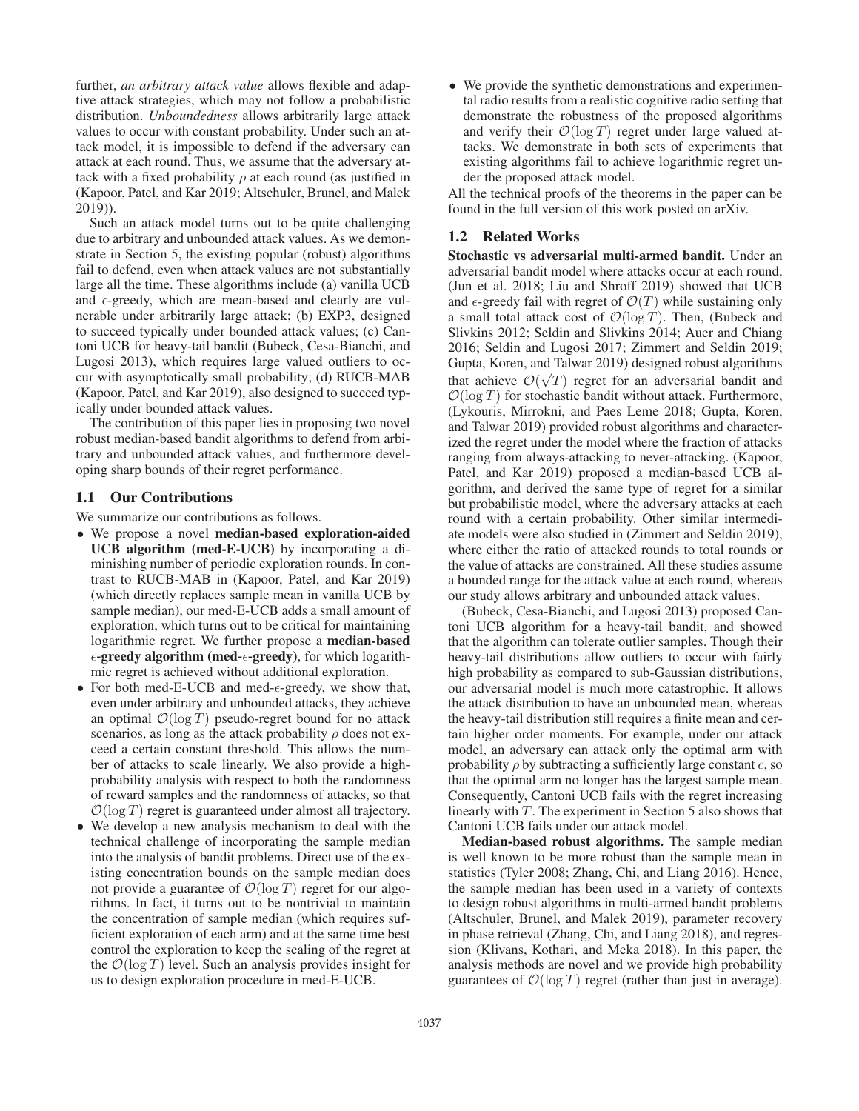further, *an arbitrary attack value* allows flexible and adaptive attack strategies, which may not follow a probabilistic distribution. *Unboundedness* allows arbitrarily large attack values to occur with constant probability. Under such an attack model, it is impossible to defend if the adversary can attack at each round. Thus, we assume that the adversary attack with a fixed probability  $\rho$  at each round (as justified in (Kapoor, Patel, and Kar 2019; Altschuler, Brunel, and Malek 2019)).

Such an attack model turns out to be quite challenging due to arbitrary and unbounded attack values. As we demonstrate in Section 5, the existing popular (robust) algorithms fail to defend, even when attack values are not substantially large all the time. These algorithms include (a) vanilla UCB and  $\epsilon$ -greedy, which are mean-based and clearly are vulnerable under arbitrarily large attack; (b) EXP3, designed to succeed typically under bounded attack values; (c) Cantoni UCB for heavy-tail bandit (Bubeck, Cesa-Bianchi, and Lugosi 2013), which requires large valued outliers to occur with asymptotically small probability; (d) RUCB-MAB (Kapoor, Patel, and Kar 2019), also designed to succeed typically under bounded attack values.

The contribution of this paper lies in proposing two novel robust median-based bandit algorithms to defend from arbitrary and unbounded attack values, and furthermore developing sharp bounds of their regret performance.

### 1.1 Our Contributions

We summarize our contributions as follows.

- We propose a novel median-based exploration-aided UCB algorithm (med-E-UCB) by incorporating a diminishing number of periodic exploration rounds. In contrast to RUCB-MAB in (Kapoor, Patel, and Kar 2019) (which directly replaces sample mean in vanilla UCB by sample median), our med-E-UCB adds a small amount of exploration, which turns out to be critical for maintaining logarithmic regret. We further propose a median-based  $\epsilon$ -greedy algorithm (med- $\epsilon$ -greedy), for which logarithmic regret is achieved without additional exploration.
- For both med-E-UCB and med- $\epsilon$ -greedy, we show that, even under arbitrary and unbounded attacks, they achieve an optimal  $\mathcal{O}(\log T)$  pseudo-regret bound for no attack scenarios, as long as the attack probability  $\rho$  does not exceed a certain constant threshold. This allows the number of attacks to scale linearly. We also provide a highprobability analysis with respect to both the randomness of reward samples and the randomness of attacks, so that  $\mathcal{O}(\log T)$  regret is guaranteed under almost all trajectory.
- We develop a new analysis mechanism to deal with the technical challenge of incorporating the sample median into the analysis of bandit problems. Direct use of the existing concentration bounds on the sample median does not provide a guarantee of  $\mathcal{O}(\log T)$  regret for our algorithms. In fact, it turns out to be nontrivial to maintain the concentration of sample median (which requires sufficient exploration of each arm) and at the same time best control the exploration to keep the scaling of the regret at the  $\mathcal{O}(\log T)$  level. Such an analysis provides insight for us to design exploration procedure in med-E-UCB.

• We provide the synthetic demonstrations and experimental radio results from a realistic cognitive radio setting that demonstrate the robustness of the proposed algorithms and verify their  $\mathcal{O}(\log T)$  regret under large valued attacks. We demonstrate in both sets of experiments that existing algorithms fail to achieve logarithmic regret under the proposed attack model.

All the technical proofs of the theorems in the paper can be found in the full version of this work posted on arXiv.

# 1.2 Related Works

Stochastic vs adversarial multi-armed bandit. Under an adversarial bandit model where attacks occur at each round, (Jun et al. 2018; Liu and Shroff 2019) showed that UCB and  $\epsilon$ -greedy fail with regret of  $\mathcal{O}(T)$  while sustaining only a small total attack cost of  $\mathcal{O}(\log T)$ . Then, (Bubeck and Slivkins 2012; Seldin and Slivkins 2014; Auer and Chiang 2016; Seldin and Lugosi 2017; Zimmert and Seldin 2019; Gupta, Koren, and Talwar 2019) designed robust algorithms √ that achieve  $\mathcal{O}(\sqrt{T})$  regret for an adversarial bandit and  $\mathcal{O}(\log T)$  for stochastic bandit without attack. Furthermore, (Lykouris, Mirrokni, and Paes Leme 2018; Gupta, Koren, and Talwar 2019) provided robust algorithms and characterized the regret under the model where the fraction of attacks ranging from always-attacking to never-attacking. (Kapoor, Patel, and Kar 2019) proposed a median-based UCB algorithm, and derived the same type of regret for a similar but probabilistic model, where the adversary attacks at each round with a certain probability. Other similar intermediate models were also studied in (Zimmert and Seldin 2019), where either the ratio of attacked rounds to total rounds or the value of attacks are constrained. All these studies assume a bounded range for the attack value at each round, whereas our study allows arbitrary and unbounded attack values.

(Bubeck, Cesa-Bianchi, and Lugosi 2013) proposed Cantoni UCB algorithm for a heavy-tail bandit, and showed that the algorithm can tolerate outlier samples. Though their heavy-tail distributions allow outliers to occur with fairly high probability as compared to sub-Gaussian distributions, our adversarial model is much more catastrophic. It allows the attack distribution to have an unbounded mean, whereas the heavy-tail distribution still requires a finite mean and certain higher order moments. For example, under our attack model, an adversary can attack only the optimal arm with probability  $\rho$  by subtracting a sufficiently large constant c, so that the optimal arm no longer has the largest sample mean. Consequently, Cantoni UCB fails with the regret increasing linearly with T. The experiment in Section 5 also shows that Cantoni UCB fails under our attack model.

Median-based robust algorithms. The sample median is well known to be more robust than the sample mean in statistics (Tyler 2008; Zhang, Chi, and Liang 2016). Hence, the sample median has been used in a variety of contexts to design robust algorithms in multi-armed bandit problems (Altschuler, Brunel, and Malek 2019), parameter recovery in phase retrieval (Zhang, Chi, and Liang 2018), and regression (Klivans, Kothari, and Meka 2018). In this paper, the analysis methods are novel and we provide high probability guarantees of  $\mathcal{O}(\log T)$  regret (rather than just in average).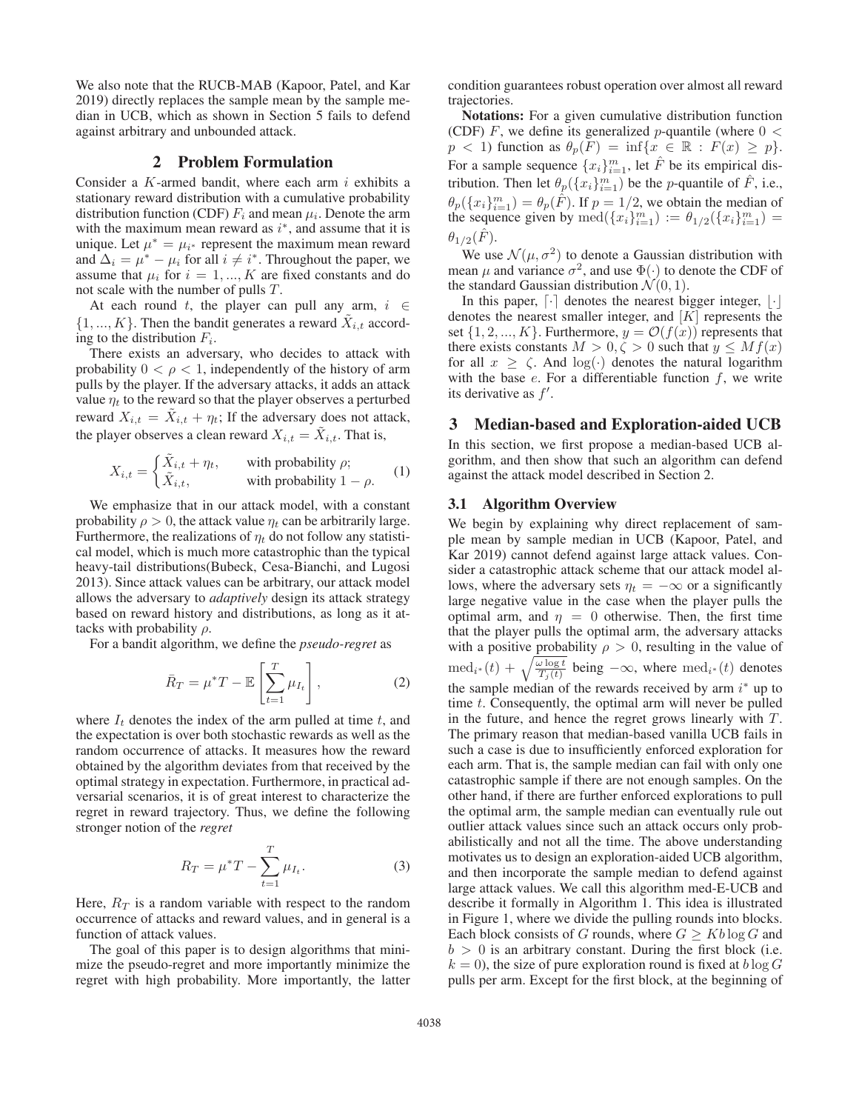We also note that the RUCB-MAB (Kapoor, Patel, and Kar 2019) directly replaces the sample mean by the sample median in UCB, which as shown in Section 5 fails to defend against arbitrary and unbounded attack.

# 2 Problem Formulation

Consider a  $K$ -armed bandit, where each arm  $i$  exhibits a stationary reward distribution with a cumulative probability distribution function (CDF)  $F_i$  and mean  $\mu_i$ . Denote the arm with the maximum mean reward as  $i^*$ , and assume that it is unique. Let  $\mu^* = \mu_{i^*}$  represent the maximum mean reward and  $\Delta_i = \mu^* - \mu_i$  for all  $i \neq i^*$ . Throughout the paper, we assume that  $\mu_i$  for  $i = 1, ..., K$  are fixed constants and do not scale with the number of pulls T.

At each round t, the player can pull any arm,  $i \in$  $\{1, ..., K\}$ . Then the bandit generates a reward  $\ddot{X}_{i,t}$  according to the distribution  $F_i$ .

There exists an adversary, who decides to attack with probability  $0 < \rho < 1$ , independently of the history of arm pulls by the player. If the adversary attacks, it adds an attack value  $\eta_t$  to the reward so that the player observes a perturbed reward  $X_{i,t} = X_{i,t} + \eta_t$ ; If the adversary does not attack, the player observes a clean reward  $X_{i,t} = \tilde{X}_{i,t}$ . That is,

$$
X_{i,t} = \begin{cases} \tilde{X}_{i,t} + \eta_t, & \text{with probability } \rho; \\ \tilde{X}_{i,t}, & \text{with probability } 1 - \rho. \end{cases}
$$
 (1)

We emphasize that in our attack model, with a constant probability  $\rho > 0$ , the attack value  $\eta_t$  can be arbitrarily large. Furthermore, the realizations of  $\eta_t$  do not follow any statistical model, which is much more catastrophic than the typical heavy-tail distributions(Bubeck, Cesa-Bianchi, and Lugosi 2013). Since attack values can be arbitrary, our attack model allows the adversary to *adaptively* design its attack strategy based on reward history and distributions, as long as it attacks with probability  $\rho$ .

For a bandit algorithm, we define the *pseudo-regret* as

$$
\bar{R}_T = \mu^* T - \mathbb{E}\left[\sum_{t=1}^T \mu_{I_t}\right],\tag{2}
$$

where  $I_t$  denotes the index of the arm pulled at time t, and the expectation is over both stochastic rewards as well as the random occurrence of attacks. It measures how the reward obtained by the algorithm deviates from that received by the optimal strategy in expectation. Furthermore, in practical adversarial scenarios, it is of great interest to characterize the regret in reward trajectory. Thus, we define the following stronger notion of the *regret*

$$
R_T = \mu^* T - \sum_{t=1}^T \mu_{I_t}.
$$
 (3)

Here,  $R_T$  is a random variable with respect to the random occurrence of attacks and reward values, and in general is a function of attack values.

The goal of this paper is to design algorithms that minimize the pseudo-regret and more importantly minimize the regret with high probability. More importantly, the latter condition guarantees robust operation over almost all reward trajectories.

Notations: For a given cumulative distribution function (CDF) F, we define its generalized p-quantile (where  $0 <$  $p < 1$ ) function as  $\theta_p(F) = \inf\{x \in \mathbb{R} : F(x) \geq p\}.$ For a sample sequence  $\{x_i\}_{i=1}^m$ , let  $\hat{F}$  be its empirical dis-<br>tribution. Then let  $\theta$  ( $\{x_i\}_{i=1}^m$ ) be the g quantile of  $\hat{F}$  i.e. tribution. Then let  $\theta_p(\lbrace x_i \rbrace_{i=1}^m)$  be the *p*-quantile of  $\hat{F}$ , i.e.,  $\theta_p({x_i}_{i=1}^m) = \theta_p(\hat{F})$ . If  $p = 1/2$ , we obtain the median of the sequence given by med $({x_i}_{i=1}^m) = \theta_{f_i(g)}({x_i}_{i=1}^m) =$ the sequence given by  $\text{med}(\{x_i\}_{i=1}^m) := \theta_{1/2}(\{x_i\}_{i=1}^m) =$  $\theta_{1/2}(F)$ .

We use  $\mathcal{N}(\mu, \sigma^2)$  to denote a Gaussian distribution with mean  $\mu$  and variance  $\sigma^2$ , and use  $\Phi(\cdot)$  to denote the CDF of the standard Gaussian distribution  $\mathcal{N}(0, 1)$ .

In this paper,  $\lceil \cdot \rceil$  denotes the nearest bigger integer,  $\lceil \cdot \rceil$ denotes the nearest smaller integer, and  $[K]$  represents the set  $\{1, 2, ..., K\}$ . Furthermore,  $y = \mathcal{O}(f(x))$  represents that there exists constants  $M > 0, \zeta > 0$  such that  $y \leq Mf(x)$ for all  $x \ge \zeta$ . And  $\log(\cdot)$  denotes the natural logarithm with the base  $e$ . For a differentiable function  $f$ , we write its derivative as f .

# 3 Median-based and Exploration-aided UCB

In this section, we first propose a median-based UCB algorithm, and then show that such an algorithm can defend against the attack model described in Section 2.

### 3.1 Algorithm Overview

We begin by explaining why direct replacement of sample mean by sample median in UCB (Kapoor, Patel, and Kar 2019) cannot defend against large attack values. Consider a catastrophic attack scheme that our attack model allows, where the adversary sets  $\eta_t = -\infty$  or a significantly large negative value in the case when the player pulls the optimal arm, and  $\eta = 0$  otherwise. Then, the first time that the player pulls the optimal arm, the adversary attacks with a positive probability  $\rho > 0$ , resulting in the value of med<sub>i\*</sub> (t) +  $\sqrt{\frac{\omega \log t}{T_j(t)}}$  being  $-\infty$ , where med<sub>i\*</sub> (t) denotes the sample median of the rewards received by arm  $i^*$  up to time t. Consequently, the optimal arm will never be pulled in the future, and hence the regret grows linearly with T. The primary reason that median-based vanilla UCB fails in such a case is due to insufficiently enforced exploration for each arm. That is, the sample median can fail with only one catastrophic sample if there are not enough samples. On the other hand, if there are further enforced explorations to pull the optimal arm, the sample median can eventually rule out outlier attack values since such an attack occurs only probabilistically and not all the time. The above understanding motivates us to design an exploration-aided UCB algorithm, and then incorporate the sample median to defend against large attack values. We call this algorithm med-E-UCB and describe it formally in Algorithm 1. This idea is illustrated in Figure 1, where we divide the pulling rounds into blocks. Each block consists of G rounds, where  $G \geq Kb \log G$  and  $b > 0$  is an arbitrary constant. During the first block (i.e.  $k = 0$ ), the size of pure exploration round is fixed at  $b \log G$ pulls per arm. Except for the first block, at the beginning of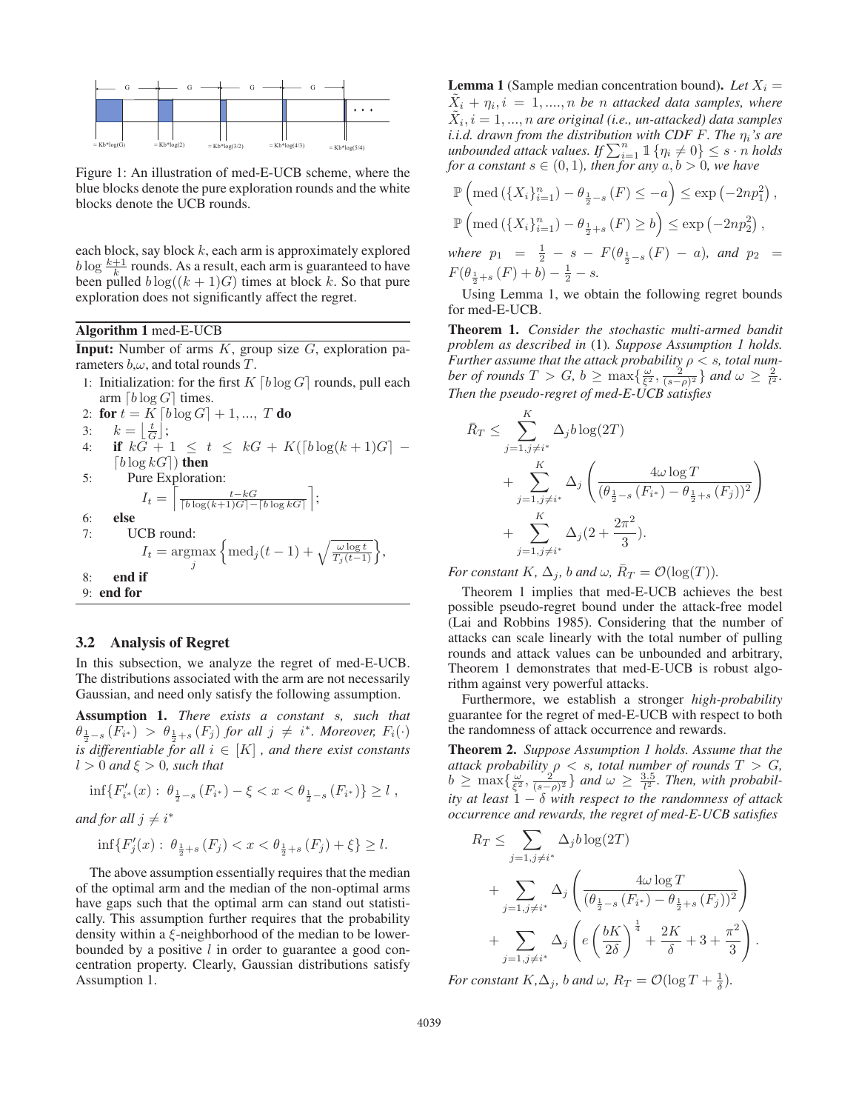

Figure 1: An illustration of med-E-UCB scheme, where the blue blocks denote the pure exploration rounds and the white blocks denote the UCB rounds.

each block, say block  $k$ , each arm is approximately explored  $b \log \frac{k+1}{k}$  rounds. As a result, each arm is guaranteed to have been pulled  $b \log((k+1)G)$  times at block k. So that pure exploration does not significantly affect the regret.

### Algorithm 1 med-E-UCB

**Input:** Number of arms  $K$ , group size  $G$ , exploration parameters  $b, \omega$ , and total rounds T.

1: Initialization: for the first  $K \lceil b \log G \rceil$  rounds, pull each arm  $\lceil b \log G \rceil$  times.

2: **for** 
$$
t = K \lceil b \log G \rceil + 1, ..., T
$$
 **do**  
\n3:  $k = \lfloor \frac{t}{G} \rfloor$ ;  
\n4: **if**  $kG + 1 \le t \le kG + K(\lceil b \log(k+1)G \rceil - \lceil b \log kG \rceil)$  **then**  
\n5: Pure Exploration:  
\n $I_t = \lceil \frac{t - kG}{\lceil b \log(k+1)G \rceil - \lceil b \log kG \rceil} \rceil$ ;  
\n6: **else**  
\n7: UCB round:  
\n $I_t = \arg \max_{j} \left\{ \text{med}_j(t-1) + \sqrt{\frac{\omega \log t}{T_j(t-1)}} \right\}$ ,  
\n8: **end if**  
\n9: **end for**

### 3.2 Analysis of Regret

In this subsection, we analyze the regret of med-E-UCB. The distributions associated with the arm are not necessarily Gaussian, and need only satisfy the following assumption.

Assumption 1. *There exists a constant* s*, such that*  $\theta_{\frac{1}{2}-s}(F_{i^*}) > \theta_{\frac{1}{2}+s}(F_j)$  for all  $j \neq i^*$ . Moreover,  $F_i(\cdot)$ *is differentiable for all*  $i \in [K]$ , *and there exist constants*  $l > 0$  and  $\xi > 0$ , such that

$$
\inf\{F'_{i^*}(x): \theta_{\frac{1}{2}-s}(F_{i^*})-\xi < x < \theta_{\frac{1}{2}-s}(F_{i^*})\} \ge l \;,
$$

*and for all*  $j \neq i^*$ 

$$
\inf\{F'_j(x): \theta_{\frac{1}{2}+s}(F_j) < x < \theta_{\frac{1}{2}+s}(F_j) + \xi\} \ge l.
$$

The above assumption essentially requires that the median of the optimal arm and the median of the non-optimal arms have gaps such that the optimal arm can stand out statistically. This assumption further requires that the probability density within a ξ-neighborhood of the median to be lowerbounded by a positive  $l$  in order to guarantee a good concentration property. Clearly, Gaussian distributions satisfy Assumption 1.

**Lemma 1** (Sample median concentration bound). Let  $X_i =$  $X_i + \eta_i, i = 1, \ldots, n$  *be n* attacked data samples, where  $X_i, i = 1, \ldots, n$  are original (i.e., un-attacked) data samples *i.i.d. drawn from the distribution with CDF F. The*  $\eta_i$ *'s are unbounded attack values. If*  $\sum_{i=1}^{n} 1 \{ \eta_i \neq 0 \} \leq s \cdot n$  *holds* for a constant  $s \in (0, 1)$  then for any  $a, b > 0$  we have *for a constant*  $s \in (0,1)$ *, then for any*  $a, b > 0$ *, we have* 

$$
\mathbb{P}\left(\text{med}\left(\{X_i\}_{i=1}^n\right) - \theta_{\frac{1}{2}-s}(F) \leq -a\right) \leq \exp\left(-2np_1^2\right),
$$
  

$$
\mathbb{P}\left(\text{med}\left(\{X_i\}_{i=1}^n\right) - \theta_{\frac{1}{2}+s}(F) \geq b\right) \leq \exp\left(-2np_2^2\right),
$$
  
where  $p_1 = \frac{1}{2} - s - F(\theta_{\frac{1}{2}-s}(F) - a),$  and  $p_2 = F(\theta_{\frac{1}{2}+s}(F) + b) - \frac{1}{2} - s.$ 

 $(\theta_{\frac{1}{2}+s}(F) + b) - \frac{1}{2} - s.$ <br>Using Lemma 1, we obtain the following regret bounds for med-E-UCB.

Theorem 1. *Consider the stochastic multi-armed bandit problem as described in* (1)*. Suppose Assumption 1 holds. Further assume that the attack probability*  $\rho < s$ , total num*ber of rounds*  $T > G$ ,  $b \ge \max\{\frac{\omega}{\xi^2}, \frac{2}{(\xi-\rho)^2}\}$  and  $\omega \ge \frac{2}{l^2}$ .<br>Then the pseudo-regret of med E UCB satisfies *Then the pseudo-regret of med-E-UCB satisfies*

$$
\bar{R}_T \le \sum_{j=1, j\neq i^*}^{K} \Delta_j b \log(2T) + \sum_{j=1, j\neq i^*}^{K} \Delta_j \left( \frac{4\omega \log T}{(\theta_{\frac{1}{2}-s} (F_{i^*}) - \theta_{\frac{1}{2}+s} (F_j))^2} \right) + \sum_{j=1, j\neq i^*}^{K} \Delta_j (2 + \frac{2\pi^2}{3}).
$$

*For constant*  $K$ *,*  $\Delta_i$ *, b and*  $\omega$ *,*  $\overline{R}_T = \mathcal{O}(\log(T))$ *.* 

Theorem 1 implies that med-E-UCB achieves the best possible pseudo-regret bound under the attack-free model (Lai and Robbins 1985). Considering that the number of attacks can scale linearly with the total number of pulling rounds and attack values can be unbounded and arbitrary, Theorem 1 demonstrates that med-E-UCB is robust algorithm against very powerful attacks.

Furthermore, we establish a stronger *high-probability* guarantee for the regret of med-E-UCB with respect to both the randomness of attack occurrence and rewards.

Theorem 2. *Suppose Assumption 1 holds. Assume that the attack probability*  $\rho < s$ *, total number of rounds*  $T > G$ *,*  $b \ge \max\{\frac{\omega}{\xi^2}, \frac{2}{(s-\rho)^2}\}\$  and  $\omega \ge \frac{3.5}{l^2}$ . Then, with probabil-<br>its at least 1.  $\delta$  with respect to the randomness of attack *ity at least* 1 − δ *with respect to the randomness of attack occurrence and rewards, the regret of med-E-UCB satisfies*

$$
R_T \leq \sum_{j=1, j\neq i^*} \Delta_j b \log(2T)
$$
  
+ 
$$
\sum_{j=1, j\neq i^*} \Delta_j \left( \frac{4\omega \log T}{(\theta_{\frac{1}{2}-s} (F_{i^*}) - \theta_{\frac{1}{2}+s} (F_j))^2} \right)
$$
  
+ 
$$
\sum_{j=1, j\neq i^*} \Delta_j \left( e \left( \frac{bK}{2\delta} \right)^{\frac{1}{4}} + \frac{2K}{\delta} + 3 + \frac{\pi^2}{3} \right).
$$

*For constant*  $K, \Delta_j$ *, b and*  $\omega$ *,*  $R_T = \mathcal{O}(\log T + \frac{1}{\delta})$ *.*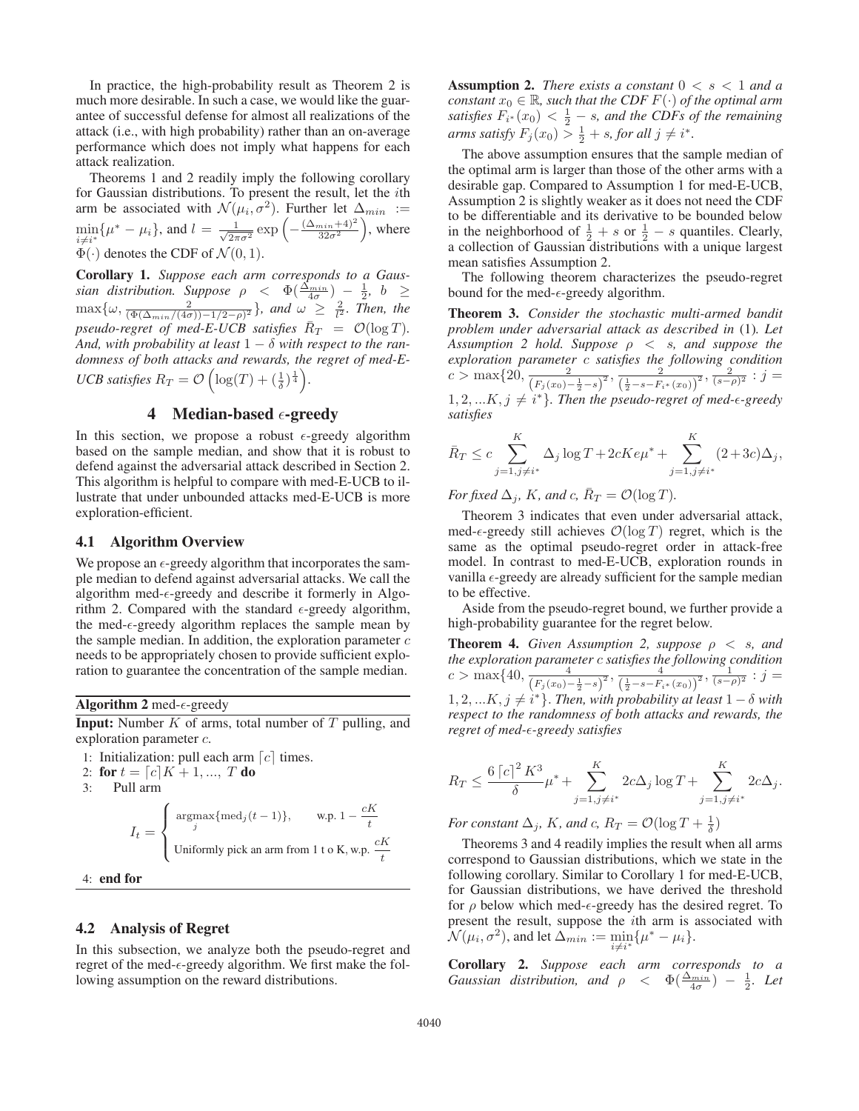In practice, the high-probability result as Theorem 2 is much more desirable. In such a case, we would like the guarantee of successful defense for almost all realizations of the attack (i.e., with high probability) rather than an on-average performance which does not imply what happens for each attack realization.

Theorems 1 and 2 readily imply the following corollary for Gaussian distributions. To present the result, let the ith arm be associated with  $\mathcal{N}(\mu_i, \sigma^2)$ . Further let  $\Delta_{min} :=$ min i≠i\*<br>क∠  $\{\mu^* - \mu_i\}$ , and  $l = \frac{1}{\sqrt{2\pi\sigma^2}} \exp\left(-\frac{(\Delta_{min}+4)^2}{32\sigma^2}\right)$  , where  $\Phi(\cdot)$  denotes the CDF of  $\mathcal{N}(0, 1)$ .

Corollary 1. *Suppose each arm corresponds to a Gaussian distribution. Suppose*  $\rho < \Phi(\frac{\Delta_{min}}{4\sigma}) - \frac{1}{2}$ ,  $b \ge \max\{\omega, \frac{2}{(\Phi(\Delta_{min}/(4\sigma))-1/2-\rho)^2}\}$ , and  $\omega \ge \frac{2}{l^2}$ . Then, the *pseudo-regret of med-E-UCB satisfies*  $\bar{R}_T = \mathcal{O}(\log T)$ . *And, with probability at least*  $1 - \delta$  *with respect to the randomness of both attacks and rewards, the regret of med-E-UCB satisfies*  $R_T = \mathcal{O}\left(\log(T) + \left(\frac{1}{\delta}\right)^{\frac{1}{4}}\right)$ .

# 4 Median-based  $\epsilon$ -greedy

In this section, we propose a robust  $\epsilon$ -greedy algorithm based on the sample median, and show that it is robust to defend against the adversarial attack described in Section 2. This algorithm is helpful to compare with med-E-UCB to illustrate that under unbounded attacks med-E-UCB is more exploration-efficient.

### 4.1 Algorithm Overview

We propose an  $\epsilon$ -greedy algorithm that incorporates the sample median to defend against adversarial attacks. We call the algorithm med- $\epsilon$ -greedy and describe it formerly in Algorithm 2. Compared with the standard  $\epsilon$ -greedy algorithm, the med- $\epsilon$ -greedy algorithm replaces the sample mean by the sample median. In addition, the exploration parameter  $c$ needs to be appropriately chosen to provide sufficient exploration to guarantee the concentration of the sample median.

Algorithm 2 med- $\epsilon$ -greedy

**Input:** Number  $K$  of arms, total number of  $T$  pulling, and exploration parameter c.

1: Initialization: pull each arm  $[c]$  times.

- 2: for  $t = [c]K + 1, ..., T$  do
- 3: Pull arm

$$
I_t = \begin{cases} \operatorname{argmax}_{j} \{\operatorname{med}_j(t-1)\}, & \text{w.p. } 1 - \frac{cK}{t} \\ \text{Uniformly pick an arm from 1 to K, w.p. } \frac{cK}{t} \end{cases}
$$

 $4<sup>+</sup>$  end for

### 4.2 Analysis of Regret

In this subsection, we analyze both the pseudo-regret and regret of the med- $\epsilon$ -greedy algorithm. We first make the following assumption on the reward distributions.

**Assumption 2.** *There exists a constant*  $0 \lt s \lt 1$  *and a constant*  $x_0 \in \mathbb{R}$ *, such that the CDF*  $F(\cdot)$  *of the optimal arm satisfies*  $F_{i^*}(x_0) < \frac{1}{2} - s$ , and the CDFs of the remaining arms satisfy  $F_i(x_0) > \frac{1}{2} + s$  for all  $i \neq i^*$ *arms satisfy*  $F_j(x_0) > \frac{1}{2} + s$ , for all  $j \neq i^*$ .<br>The shows commution answers that the set

The above assumption ensures that the sample median of the optimal arm is larger than those of the other arms with a desirable gap. Compared to Assumption 1 for med-E-UCB, Assumption 2 is slightly weaker as it does not need the CDF to be differentiable and its derivative to be bounded below in the neighborhood of  $\frac{1}{2} + s$  or  $\frac{1}{2} - s$  quantiles. Clearly, a collection of Gaussian distributions with a unique largest a collection of Gaussian distributions with a unique largest mean satisfies Assumption 2.

The following theorem characterizes the pseudo-regret bound for the med- $\epsilon$ -greedy algorithm.

Theorem 3. *Consider the stochastic multi-armed bandit problem under adversarial attack as described in* (1)*. Let Assumption 2 hold. Suppose*  $\rho \leq s$ , and suppose the *exploration parameter* c *satisfies the following condition*  $c > \max\{20, \frac{2}{\left(F_j(x_0) - \frac{1}{2} - s\right)^2}, \frac{2}{\left(\frac{1}{2} - s - F_{i^*}(x_0)\right)^2}, \frac{2}{(s-\rho)^2} : j =$  $1, 2, \ldots K, j \neq i^*$ . Then the pseudo-regret of med- $\epsilon$ -greedy *satisfies*

$$
\bar{R}_T \le c \sum_{j=1, j \neq i^*}^{K} \Delta_j \log T + 2cKe\mu^* + \sum_{j=1, j \neq i^*}^{K} (2+3c)\Delta_j,
$$

*For fixed*  $\Delta_i$ *, K, and c,*  $R_T = \mathcal{O}(\log T)$ *.* 

Theorem 3 indicates that even under adversarial attack, med- $\epsilon$ -greedy still achieves  $\mathcal{O}(\log T)$  regret, which is the same as the optimal pseudo-regret order in attack-free model. In contrast to med-E-UCB, exploration rounds in vanilla  $\epsilon$ -greedy are already sufficient for the sample median to be effective.

Aside from the pseudo-regret bound, we further provide a high-probability guarantee for the regret below.

**Theorem 4.** *Given Assumption 2, suppose*  $\rho \leq s$ *, and the exploration parameter* c *satisfies the following condition*  $c > \max\{40, \frac{4}{(F_j(x_0)-\frac{1}{2}-s)^2}, \frac{4}{(\frac{1}{2}-s-F_i*(x_0))^2}, \frac{1}{(s-\rho)^2} : j =$  $1, 2, ... K, j \neq i^*$ . *Then, with probability at least*  $1 - \delta$  *with respect to the randomness of both attacks and rewards, the regret of med-*-*-greedy satisfies*

$$
R_T \le \frac{6|c|^2 K^3}{\delta} \mu^* + \sum_{j=1, j\neq i^*}^{K} 2c\Delta_j \log T + \sum_{j=1, j\neq i^*}^{K} 2c\Delta_j.
$$

*For constant*  $\Delta_j$ *, K<sub>i</sub>* and c*, R<sub>T</sub>* =  $\mathcal{O}(\log T + \frac{1}{\delta})$ 

Theorems 3 and 4 readily implies the result when all arms correspond to Gaussian distributions, which we state in the following corollary. Similar to Corollary 1 for med-E-UCB, for Gaussian distributions, we have derived the threshold for  $\rho$  below which med- $\epsilon$ -greedy has the desired regret. To present the result, suppose the ith arm is associated with  $\mathcal{N}(\mu_i, \sigma^2)$ , and let  $\Delta_{min} := \min_{i,j}$  $i\neq i^*$  $\{\mu^* - \mu_i\}.$ 

Corollary 2. *Suppose each arm corresponds to a Gaussian distribution, and*  $\rho < \Phi(\frac{\Delta_{min}}{4\sigma}) - \frac{1}{2}$ *. Let*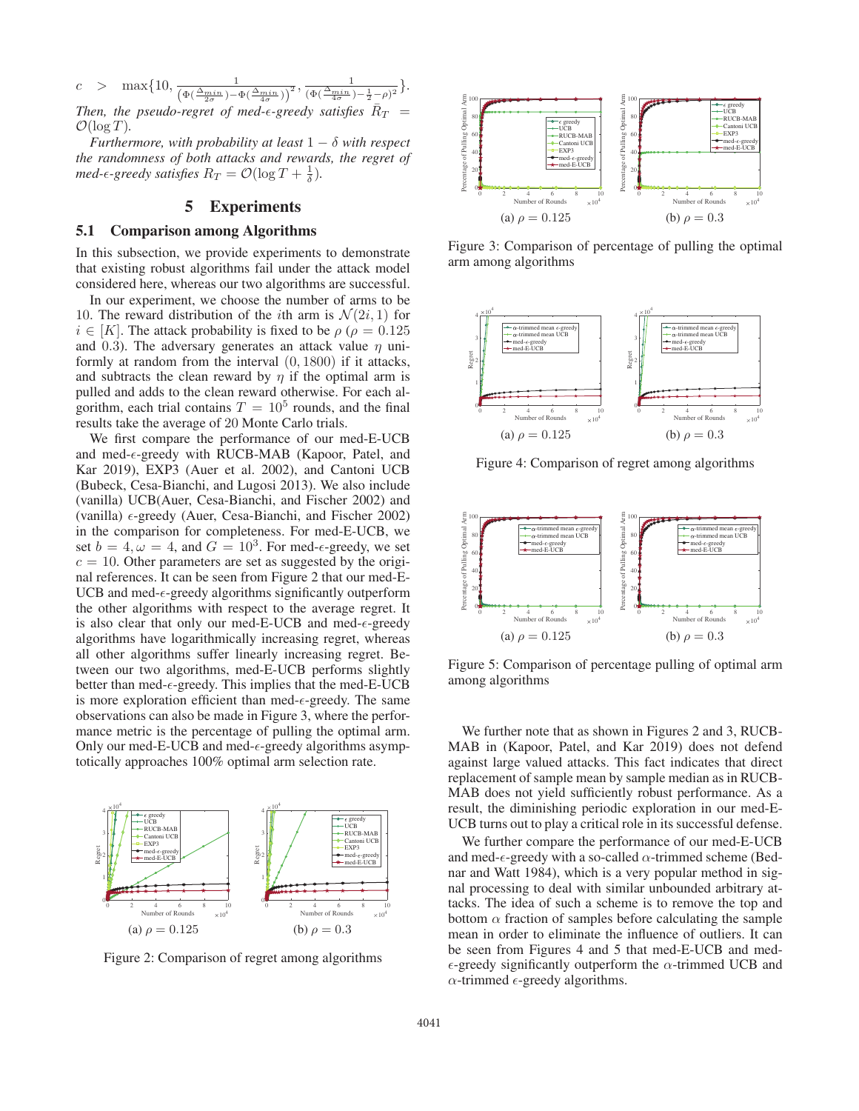$c$  > max $\{10, \frac{1}{\left(\Phi\left(\frac{\Delta_{min}}{2\sigma}\right) - \Phi\left(\frac{\Delta_{min}}{4\sigma}\right)\right)^2}, \frac{1}{\left(\Phi\left(\frac{\Delta_{min}}{4\sigma}\right) - \frac{1}{2} - \rho\right)^2}\}.$ Then, the pseudo-regret of med- $\epsilon$ -greedy satisfies  $\bar{R}_T$  =

 $\mathcal{O}(\log T)$ . *Furthermore, with probability at least*  $1 - \delta$  *with respect the randomness of both attacks and rewards, the regret of med-* $\epsilon$ -greedy satisfies  $R_T = \mathcal{O}(\log T + \frac{1}{\delta})$ .

# 5 Experiments

### 5.1 Comparison among Algorithms

In this subsection, we provide experiments to demonstrate that existing robust algorithms fail under the attack model considered here, whereas our two algorithms are successful.

In our experiment, we choose the number of arms to be 10. The reward distribution of the *i*th arm is  $\mathcal{N}(2i, 1)$  for  $i \in [K]$ . The attack probability is fixed to be  $\rho$  ( $\rho = 0.125$ ) and 0.3). The adversary generates an attack value  $\eta$  uniformly at random from the interval (0, 1800) if it attacks, and subtracts the clean reward by  $\eta$  if the optimal arm is pulled and adds to the clean reward otherwise. For each algorithm, each trial contains  $T = 10^5$  rounds, and the final results take the average of 20 Monte Carlo trials.

We first compare the performance of our med-E-UCB and med- $\epsilon$ -greedy with RUCB-MAB (Kapoor, Patel, and Kar 2019), EXP3 (Auer et al. 2002), and Cantoni UCB (Bubeck, Cesa-Bianchi, and Lugosi 2013). We also include (vanilla) UCB(Auer, Cesa-Bianchi, and Fischer 2002) and (vanilla)  $\epsilon$ -greedy (Auer, Cesa-Bianchi, and Fischer 2002) in the comparison for completeness. For med-E-UCB, we set  $b = 4, \omega = 4$ , and  $G = 10^3$ . For med- $\epsilon$ -greedy, we set  $c = 10$ . Other parameters are set as suggested by the original references. It can be seen from Figure 2 that our med-E-UCB and med- $\epsilon$ -greedy algorithms significantly outperform the other algorithms with respect to the average regret. It is also clear that only our med-E-UCB and med- $\epsilon$ -greedy algorithms have logarithmically increasing regret, whereas all other algorithms suffer linearly increasing regret. Between our two algorithms, med-E-UCB performs slightly better than med- $\epsilon$ -greedy. This implies that the med-E-UCB is more exploration efficient than med- $\epsilon$ -greedy. The same observations can also be made in Figure 3, where the performance metric is the percentage of pulling the optimal arm. Only our med-E-UCB and med- $\epsilon$ -greedy algorithms asymptotically approaches 100% optimal arm selection rate.



Figure 2: Comparison of regret among algorithms



Figure 3: Comparison of percentage of pulling the optimal arm among algorithms



Figure 4: Comparison of regret among algorithms



Figure 5: Comparison of percentage pulling of optimal arm among algorithms

We further note that as shown in Figures 2 and 3, RUCB-MAB in (Kapoor, Patel, and Kar 2019) does not defend against large valued attacks. This fact indicates that direct replacement of sample mean by sample median as in RUCB-MAB does not yield sufficiently robust performance. As a result, the diminishing periodic exploration in our med-E-UCB turns out to play a critical role in its successful defense.

We further compare the performance of our med-E-UCB and med- $\epsilon$ -greedy with a so-called  $\alpha$ -trimmed scheme (Bednar and Watt 1984), which is a very popular method in signal processing to deal with similar unbounded arbitrary attacks. The idea of such a scheme is to remove the top and bottom  $\alpha$  fraction of samples before calculating the sample mean in order to eliminate the influence of outliers. It can be seen from Figures 4 and 5 that med-E-UCB and med-  $\epsilon$ -greedy significantly outperform the  $\alpha$ -trimmed UCB and  $\alpha$ -trimmed  $\epsilon$ -greedy algorithms.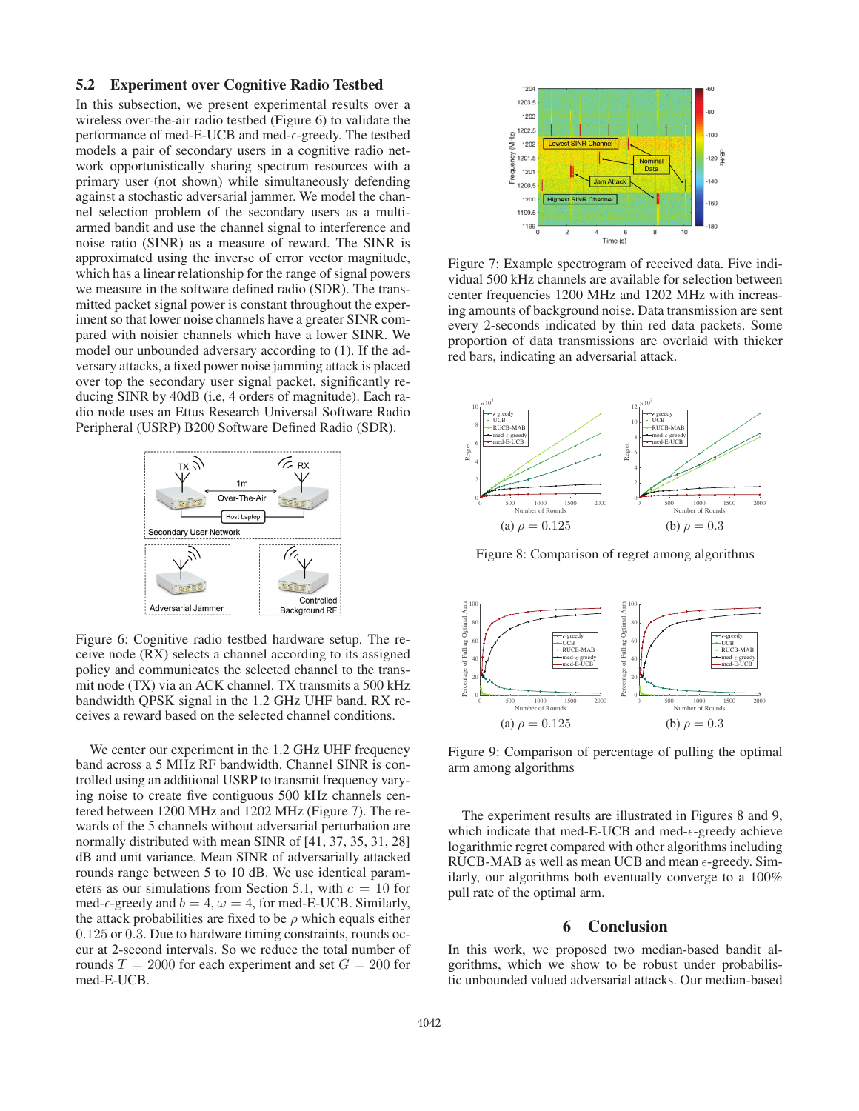### 5.2 Experiment over Cognitive Radio Testbed

In this subsection, we present experimental results over a wireless over-the-air radio testbed (Figure 6) to validate the performance of med-E-UCB and med- $\epsilon$ -greedy. The testbed models a pair of secondary users in a cognitive radio network opportunistically sharing spectrum resources with a primary user (not shown) while simultaneously defending against a stochastic adversarial jammer. We model the channel selection problem of the secondary users as a multiarmed bandit and use the channel signal to interference and noise ratio (SINR) as a measure of reward. The SINR is approximated using the inverse of error vector magnitude, which has a linear relationship for the range of signal powers we measure in the software defined radio (SDR). The transmitted packet signal power is constant throughout the experiment so that lower noise channels have a greater SINR compared with noisier channels which have a lower SINR. We model our unbounded adversary according to (1). If the adversary attacks, a fixed power noise jamming attack is placed over top the secondary user signal packet, significantly reducing SINR by 40dB (i.e, 4 orders of magnitude). Each radio node uses an Ettus Research Universal Software Radio Peripheral (USRP) B200 Software Defined Radio (SDR).



Figure 6: Cognitive radio testbed hardware setup. The receive node (RX) selects a channel according to its assigned policy and communicates the selected channel to the transmit node (TX) via an ACK channel. TX transmits a 500 kHz bandwidth QPSK signal in the 1.2 GHz UHF band. RX receives a reward based on the selected channel conditions.

We center our experiment in the 1.2 GHz UHF frequency band across a 5 MHz RF bandwidth. Channel SINR is controlled using an additional USRP to transmit frequency varying noise to create five contiguous 500 kHz channels centered between 1200 MHz and 1202 MHz (Figure 7). The rewards of the 5 channels without adversarial perturbation are normally distributed with mean SINR of [41, 37, 35, 31, 28] dB and unit variance. Mean SINR of adversarially attacked rounds range between 5 to 10 dB. We use identical parameters as our simulations from Section 5.1, with  $c = 10$  for med- $\epsilon$ -greedy and  $b = 4$ ,  $\omega = 4$ , for med-E-UCB. Similarly, the attack probabilities are fixed to be  $\rho$  which equals either 0.125 or 0.3. Due to hardware timing constraints, rounds occur at 2-second intervals. So we reduce the total number of rounds  $T = 2000$  for each experiment and set  $G = 200$  for med-E-UCB.



Figure 7: Example spectrogram of received data. Five individual 500 kHz channels are available for selection between center frequencies 1200 MHz and 1202 MHz with increasing amounts of background noise. Data transmission are sent every 2-seconds indicated by thin red data packets. Some proportion of data transmissions are overlaid with thicker red bars, indicating an adversarial attack.



Figure 8: Comparison of regret among algorithms



Figure 9: Comparison of percentage of pulling the optimal arm among algorithms

The experiment results are illustrated in Figures 8 and 9, which indicate that med-E-UCB and med- $\epsilon$ -greedy achieve logarithmic regret compared with other algorithms including RUCB-MAB as well as mean UCB and mean  $\epsilon$ -greedy. Similarly, our algorithms both eventually converge to a 100% pull rate of the optimal arm.

# 6 Conclusion

In this work, we proposed two median-based bandit algorithms, which we show to be robust under probabilistic unbounded valued adversarial attacks. Our median-based